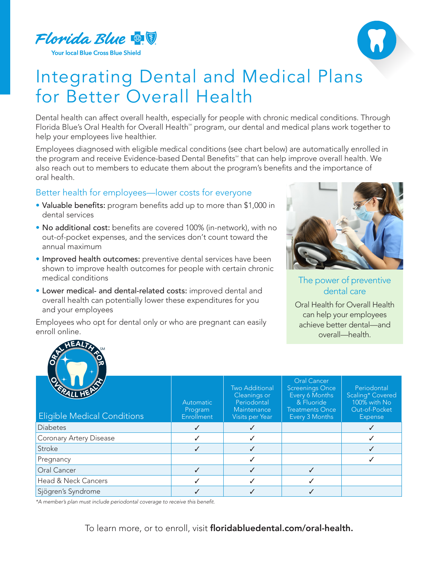

**Your local Blue Cross Blue Shield** 



## Integrating Dental and Medical Plans for Better Overall Health

Dental health can affect overall health, especially for people with chronic medical conditions. Through Florida Blue's Oral Health for Overall Health<sup>\*</sup> program, our dental and medical plans work together to help your employees live healthier.

Employees diagnosed with eligible medical conditions (see chart below) are automatically enrolled in the program and receive Evidence-based Dental Benefits<sup>®</sup> that can help improve overall health. We also reach out to members to educate them about the program's benefits and the importance of oral health.

## Better health for employees—lower costs for everyone

- Valuable benefits: program benefits add up to more than \$1,000 in dental services
- No additional cost: benefits are covered 100% (in-network), with no out-of-pocket expenses, and the services don't count toward the annual maximum
- Improved health outcomes: preventive dental services have been shown to improve health outcomes for people with certain chronic medical conditions
- Lower medical- and dental-related costs: improved dental and overall health can potentially lower these expenditures for you and your employees

Employees who opt for dental only or who are pregnant can easily enroll online.



## The power of preventive dental care

Oral Health for Overall Health can help your employees achieve better dental—and overall—health.



| <b>Eligible Medical Conditions</b> | Automatic<br>Program<br>Enrollment | <b>Two Additional</b><br>Cleanings or<br>Periodontal<br>Maintenance<br>Visits per Year | <b>Oral Cancer</b><br><b>Screenings Once</b><br>Every 6 Months<br>& Fluoride<br><b>Treatments Once</b><br>Every 3 Months | Periodontal<br>Scaling* Covered<br>100% with No<br>Out-of-Pocket<br><b>Expense</b> |
|------------------------------------|------------------------------------|----------------------------------------------------------------------------------------|--------------------------------------------------------------------------------------------------------------------------|------------------------------------------------------------------------------------|
| <b>Diabetes</b>                    |                                    |                                                                                        |                                                                                                                          |                                                                                    |
| Coronary Artery Disease            |                                    |                                                                                        |                                                                                                                          |                                                                                    |
| Stroke                             |                                    |                                                                                        |                                                                                                                          |                                                                                    |
| Pregnancy                          |                                    |                                                                                        |                                                                                                                          |                                                                                    |
| Oral Cancer                        |                                    |                                                                                        |                                                                                                                          |                                                                                    |
| Head & Neck Cancers                |                                    |                                                                                        |                                                                                                                          |                                                                                    |
| Sjögren's Syndrome                 |                                    |                                                                                        |                                                                                                                          |                                                                                    |

\*A member's plan must include periodontal coverage to receive this benefit.